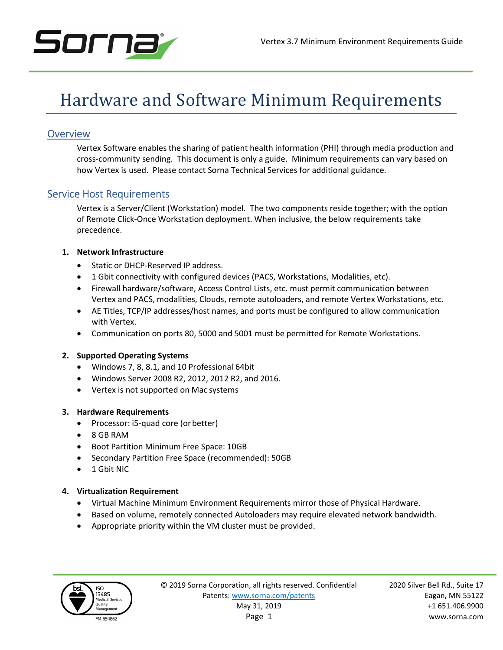

# Hardware and Software Minimum Requirements

## **Overview**

Vertex Software enables the sharing of patient health information (PHI) through media production and cross-community sending. This document is only a guide. Minimum requirements can vary based on how Vertex is used. Please contact Sorna Technical Services for additional guidance.

### Service Host Requirements

Vertex is a Server/Client (Workstation) model. The two components reside together; with the option of Remote Click-Once Workstation deployment. When inclusive, the below requirements take precedence.

#### 1. Network Infrastructure

- Static or DHCP-Reserved IP address.
- 1 Gbit connectivity with configured devices (PACS, Workstations, Modalities, etc).
- Firewall hardware/software, Access Control Lists, etc. must permit communication between Vertex and PACS, modalities, Clouds, remote autoloaders, and remote Vertex Workstations, etc.
- AE Titles, TCP/IP addresses/host names, and ports must be configured to allow communication with Vertex.
- Communication on ports 80, 5000 and 5001 must be permitted for Remote Workstations.

#### 2. Supported Operating Systems

- Windows 7, 8, 8.1, and 10 Professional 64bit
- Windows Server 2008 R2, 2012, 2012 R2, and 2016.
- Vertex is not supported on Mac systems

#### 3. Hardware Requirements

- Processor: i5-quad core (or better)
- 8 GB RAM
- Boot Partition Minimum Free Space: 10GB
- Secondary Partition Free Space (recommended): 50GB
- 1 Gbit NIC

#### 4. Virtualization Requirement

- Virtual Machine Minimum Environment Requirements mirror those of Physical Hardware.
- Based on volume, remotely connected Autoloaders may require elevated network bandwidth.
- Appropriate priority within the VM cluster must be provided.